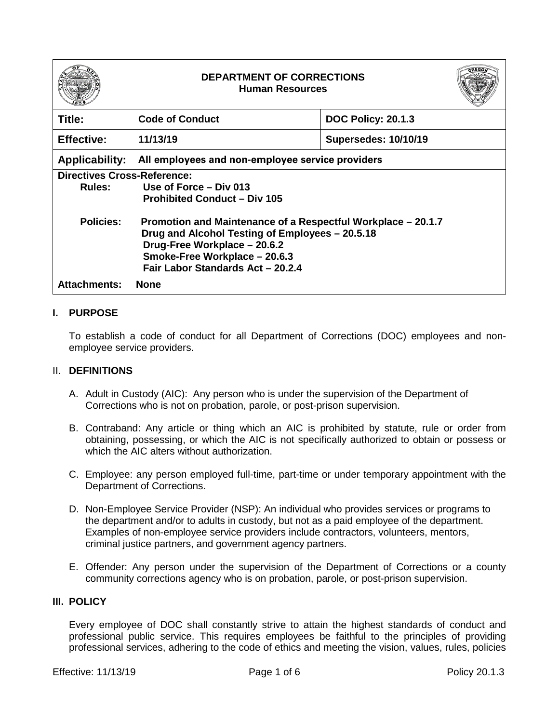| 85<br>c |
|---------|
|---------|

# **DEPARTMENT OF CORRECTIONS Human Resources**



| Title:                             | <b>Code of Conduct</b>                                                                                                                                                           | <b>DOC Policy: 20.1.3</b>   |  |
|------------------------------------|----------------------------------------------------------------------------------------------------------------------------------------------------------------------------------|-----------------------------|--|
| <b>Effective:</b>                  | 11/13/19                                                                                                                                                                         | <b>Supersedes: 10/10/19</b> |  |
| <b>Applicability:</b>              | All employees and non-employee service providers                                                                                                                                 |                             |  |
| <b>Directives Cross-Reference:</b> |                                                                                                                                                                                  |                             |  |
| Rules:                             | Use of Force – Div 013                                                                                                                                                           |                             |  |
|                                    | <b>Prohibited Conduct - Div 105</b>                                                                                                                                              |                             |  |
| <b>Policies:</b>                   | Promotion and Maintenance of a Respectful Workplace – 20.1.7<br>Drug and Alcohol Testing of Employees - 20.5.18<br>Drug-Free Workplace - 20.6.2<br>Smoke-Free Workplace - 20.6.3 |                             |  |
|                                    |                                                                                                                                                                                  |                             |  |
|                                    |                                                                                                                                                                                  |                             |  |
|                                    | Fair Labor Standards Act - 20.2.4                                                                                                                                                |                             |  |
|                                    |                                                                                                                                                                                  |                             |  |
| <b>Attachments:</b>                | <b>None</b>                                                                                                                                                                      |                             |  |

## **I. PURPOSE**

To establish a code of conduct for all Department of Corrections (DOC) employees and nonemployee service providers.

#### II. **DEFINITIONS**

- A. Adult in Custody (AIC): Any person who is under the supervision of the Department of Corrections who is not on probation, parole, or post-prison supervision.
- B. Contraband: Any article or thing which an AIC is prohibited by statute, rule or order from obtaining, possessing, or which the AIC is not specifically authorized to obtain or possess or which the AIC alters without authorization.
- C. Employee: any person employed full-time, part-time or under temporary appointment with the Department of Corrections.
- D. Non-Employee Service Provider (NSP): An individual who provides services or programs to the department and/or to adults in custody, but not as a paid employee of the department. Examples of non-employee service providers include contractors, volunteers, mentors, criminal justice partners, and government agency partners.
- E. Offender: Any person under the supervision of the Department of Corrections or a county community corrections agency who is on probation, parole, or post-prison supervision.

#### **III. POLICY**

Every employee of DOC shall constantly strive to attain the highest standards of conduct and professional public service. This requires employees be faithful to the principles of providing professional services, adhering to the code of ethics and meeting the vision, values, rules, policies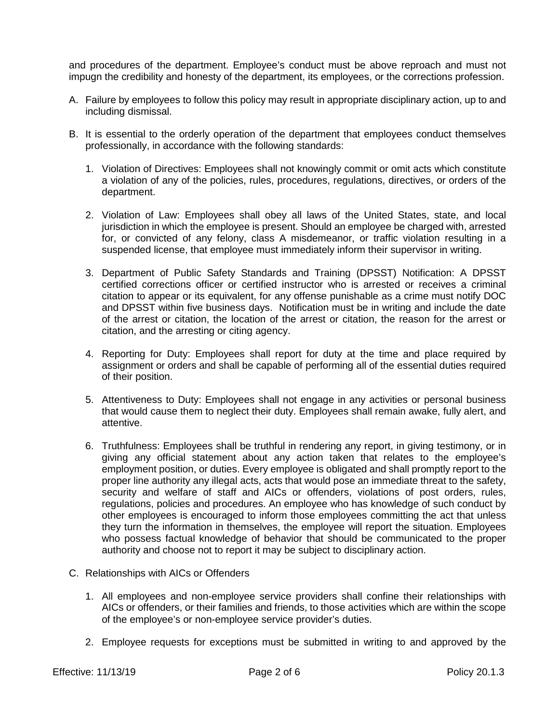and procedures of the department. Employee's conduct must be above reproach and must not impugn the credibility and honesty of the department, its employees, or the corrections profession.

- A. Failure by employees to follow this policy may result in appropriate disciplinary action, up to and including dismissal.
- B. It is essential to the orderly operation of the department that employees conduct themselves professionally, in accordance with the following standards:
	- 1. Violation of Directives: Employees shall not knowingly commit or omit acts which constitute a violation of any of the policies, rules, procedures, regulations, directives, or orders of the department.
	- 2. Violation of Law: Employees shall obey all laws of the United States, state, and local jurisdiction in which the employee is present. Should an employee be charged with, arrested for, or convicted of any felony, class A misdemeanor, or traffic violation resulting in a suspended license, that employee must immediately inform their supervisor in writing.
	- 3. Department of Public Safety Standards and Training (DPSST) Notification: A DPSST certified corrections officer or certified instructor who is arrested or receives a criminal citation to appear or its equivalent, for any offense punishable as a crime must notify DOC and DPSST within five business days. Notification must be in writing and include the date of the arrest or citation, the location of the arrest or citation, the reason for the arrest or citation, and the arresting or citing agency.
	- 4. Reporting for Duty: Employees shall report for duty at the time and place required by assignment or orders and shall be capable of performing all of the essential duties required of their position.
	- 5. Attentiveness to Duty: Employees shall not engage in any activities or personal business that would cause them to neglect their duty. Employees shall remain awake, fully alert, and attentive.
	- 6. Truthfulness: Employees shall be truthful in rendering any report, in giving testimony, or in giving any official statement about any action taken that relates to the employee's employment position, or duties. Every employee is obligated and shall promptly report to the proper line authority any illegal acts, acts that would pose an immediate threat to the safety, security and welfare of staff and AICs or offenders, violations of post orders, rules, regulations, policies and procedures. An employee who has knowledge of such conduct by other employees is encouraged to inform those employees committing the act that unless they turn the information in themselves, the employee will report the situation. Employees who possess factual knowledge of behavior that should be communicated to the proper authority and choose not to report it may be subject to disciplinary action.
- C. Relationships with AICs or Offenders
	- 1. All employees and non-employee service providers shall confine their relationships with AICs or offenders, or their families and friends, to those activities which are within the scope of the employee's or non-employee service provider's duties.
	- 2. Employee requests for exceptions must be submitted in writing to and approved by the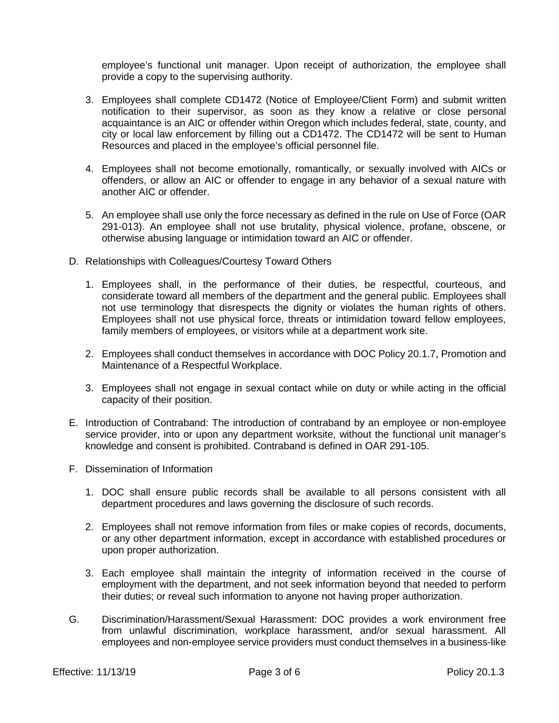employee's functional unit manager. Upon receipt of authorization, the employee shall provide a copy to the supervising authority.

- 3. Employees shall complete CD1472 (Notice of Employee/Client Form) and submit written notification to their supervisor, as soon as they know a relative or close personal acquaintance is an AIC or offender within Oregon which includes federal, state, county, and city or local law enforcement by filling out a CD1472. The CD1472 will be sent to Human Resources and placed in the employee's official personnel file.
- 4. Employees shall not become emotionally, romantically, or sexually involved with AICs or offenders, or allow an AIC or offender to engage in any behavior of a sexual nature with another AIC or offender.
- 5. An employee shall use only the force necessary as defined in the rule on Use of Force (OAR 291-013). An employee shall not use brutality, physical violence, profane, obscene, or otherwise abusing language or intimidation toward an AIC or offender.
- D. Relationships with Colleagues/Courtesy Toward Others
	- 1. Employees shall, in the performance of their duties, be respectful, courteous, and considerate toward all members of the department and the general public. Employees shall not use terminology that disrespects the dignity or violates the human rights of others. Employees shall not use physical force, threats or intimidation toward fellow employees, family members of employees, or visitors while at a department work site.
	- 2. Employees shall conduct themselves in accordance with DOC Policy 20.1.7, Promotion and Maintenance of a Respectful Workplace.
	- 3. Employees shall not engage in sexual contact while on duty or while acting in the official capacity of their position.
- E. Introduction of Contraband: The introduction of contraband by an employee or non-employee service provider, into or upon any department worksite, without the functional unit manager's knowledge and consent is prohibited. Contraband is defined in OAR 291-105.
- F. Dissemination of Information
	- 1. DOC shall ensure public records shall be available to all persons consistent with all department procedures and laws governing the disclosure of such records.
	- 2. Employees shall not remove information from files or make copies of records, documents, or any other department information, except in accordance with established procedures or upon proper authorization.
	- 3. Each employee shall maintain the integrity of information received in the course of employment with the department, and not seek information beyond that needed to perform their duties; or reveal such information to anyone not having proper authorization.
- G. Discrimination/Harassment/Sexual Harassment: DOC provides a work environment free from unlawful discrimination, workplace harassment, and/or sexual harassment. All employees and non-employee service providers must conduct themselves in a business-like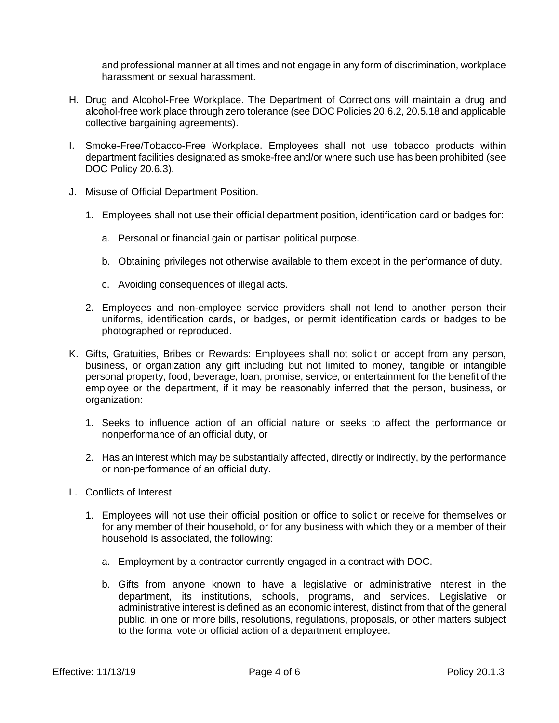and professional manner at all times and not engage in any form of discrimination, workplace harassment or sexual harassment.

- H. Drug and Alcohol-Free Workplace. The Department of Corrections will maintain a drug and alcohol-free work place through zero tolerance (see DOC Policies 20.6.2, 20.5.18 and applicable collective bargaining agreements).
- I. Smoke-Free/Tobacco-Free Workplace. Employees shall not use tobacco products within department facilities designated as smoke-free and/or where such use has been prohibited (see DOC Policy 20.6.3).
- J. Misuse of Official Department Position.
	- 1. Employees shall not use their official department position, identification card or badges for:
		- a. Personal or financial gain or partisan political purpose.
		- b. Obtaining privileges not otherwise available to them except in the performance of duty.
		- c. Avoiding consequences of illegal acts.
	- 2. Employees and non-employee service providers shall not lend to another person their uniforms, identification cards, or badges, or permit identification cards or badges to be photographed or reproduced.
- K. Gifts, Gratuities, Bribes or Rewards: Employees shall not solicit or accept from any person, business, or organization any gift including but not limited to money, tangible or intangible personal property, food, beverage, loan, promise, service, or entertainment for the benefit of the employee or the department, if it may be reasonably inferred that the person, business, or organization:
	- 1. Seeks to influence action of an official nature or seeks to affect the performance or nonperformance of an official duty, or
	- 2. Has an interest which may be substantially affected, directly or indirectly, by the performance or non-performance of an official duty.
- L. Conflicts of Interest
	- 1. Employees will not use their official position or office to solicit or receive for themselves or for any member of their household, or for any business with which they or a member of their household is associated, the following:
		- a. Employment by a contractor currently engaged in a contract with DOC.
		- b. Gifts from anyone known to have a legislative or administrative interest in the department, its institutions, schools, programs, and services. Legislative or administrative interest is defined as an economic interest, distinct from that of the general public, in one or more bills, resolutions, regulations, proposals, or other matters subject to the formal vote or official action of a department employee.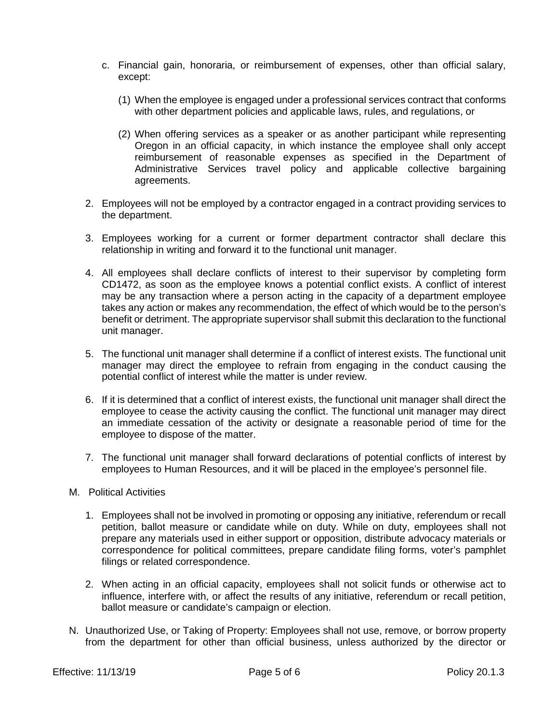- c. Financial gain, honoraria, or reimbursement of expenses, other than official salary, except:
	- (1) When the employee is engaged under a professional services contract that conforms with other department policies and applicable laws, rules, and regulations, or
	- (2) When offering services as a speaker or as another participant while representing Oregon in an official capacity, in which instance the employee shall only accept reimbursement of reasonable expenses as specified in the Department of Administrative Services travel policy and applicable collective bargaining agreements.
- 2. Employees will not be employed by a contractor engaged in a contract providing services to the department.
- 3. Employees working for a current or former department contractor shall declare this relationship in writing and forward it to the functional unit manager.
- 4. All employees shall declare conflicts of interest to their supervisor by completing form CD1472, as soon as the employee knows a potential conflict exists. A conflict of interest may be any transaction where a person acting in the capacity of a department employee takes any action or makes any recommendation, the effect of which would be to the person's benefit or detriment. The appropriate supervisor shall submit this declaration to the functional unit manager.
- 5. The functional unit manager shall determine if a conflict of interest exists. The functional unit manager may direct the employee to refrain from engaging in the conduct causing the potential conflict of interest while the matter is under review.
- 6. If it is determined that a conflict of interest exists, the functional unit manager shall direct the employee to cease the activity causing the conflict. The functional unit manager may direct an immediate cessation of the activity or designate a reasonable period of time for the employee to dispose of the matter.
- 7. The functional unit manager shall forward declarations of potential conflicts of interest by employees to Human Resources, and it will be placed in the employee's personnel file.
- M. Political Activities
	- 1. Employees shall not be involved in promoting or opposing any initiative, referendum or recall petition, ballot measure or candidate while on duty. While on duty, employees shall not prepare any materials used in either support or opposition, distribute advocacy materials or correspondence for political committees, prepare candidate filing forms, voter's pamphlet filings or related correspondence.
	- 2. When acting in an official capacity, employees shall not solicit funds or otherwise act to influence, interfere with, or affect the results of any initiative, referendum or recall petition, ballot measure or candidate's campaign or election.
- N. Unauthorized Use, or Taking of Property: Employees shall not use, remove, or borrow property from the department for other than official business, unless authorized by the director or